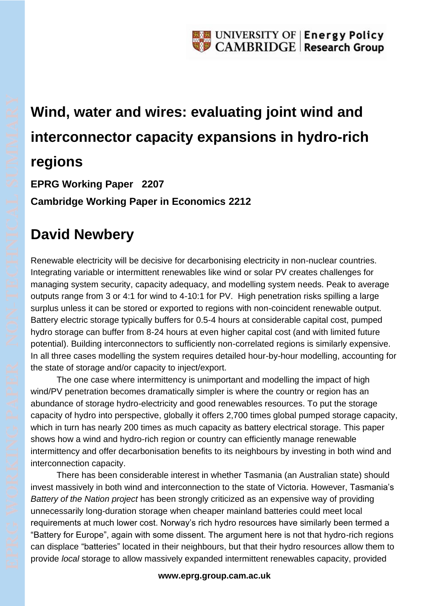

### **Wind, water and wires: evaluating joint wind and interconnector capacity expansions in hydro-rich regions**

**EPRG Working Paper 2207 Cambridge Working Paper in Economics 2212**

### **David Newbery**

Renewable electricity will be decisive for decarbonising electricity in non-nuclear countries. Integrating variable or intermittent renewables like wind or solar PV creates challenges for managing system security, capacity adequacy, and modelling system needs. Peak to average outputs range from 3 or 4:1 for wind to 4-10:1 for PV. High penetration risks spilling a large surplus unless it can be stored or exported to regions with non-coincident renewable output. Battery electric storage typically buffers for 0.5-4 hours at considerable capital cost, pumped hydro storage can buffer from 8-24 hours at even higher capital cost (and with limited future potential). Building interconnectors to sufficiently non-correlated regions is similarly expensive. In all three cases modelling the system requires detailed hour-by-hour modelling, accounting for the state of storage and/or capacity to inject/export.

The one case where intermittency is unimportant and modelling the impact of high wind/PV penetration becomes dramatically simpler is where the country or region has an abundance of storage hydro-electricity and good renewables resources. To put the storage capacity of hydro into perspective, globally it offers 2,700 times global pumped storage capacity, which in turn has nearly 200 times as much capacity as battery electrical storage. This paper shows how a wind and hydro-rich region or country can efficiently manage renewable intermittency and offer decarbonisation benefits to its neighbours by investing in both wind and interconnection capacity.

There has been considerable interest in whether Tasmania (an Australian state) should invest massively in both wind and interconnection to the state of Victoria. However, Tasmania's *Battery of the Nation project* has been strongly criticized as an expensive way of providing unnecessarily long-duration storage when cheaper mainland batteries could meet local requirements at much lower cost. Norway's rich hydro resources have similarly been termed a "Battery for Europe", again with some dissent. The argument here is not that hydro-rich regions can displace "batteries" located in their neighbours, but that their hydro resources allow them to provide *local* storage to allow massively expanded intermittent renewables capacity, provided

#### **www.eprg.group.cam.ac.uk**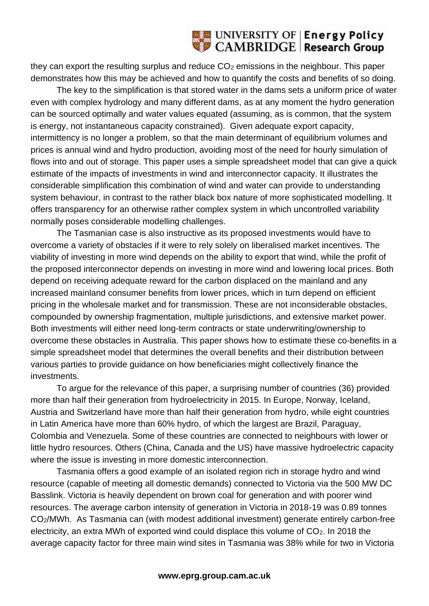# UNIVERSITY OF Energy Policy

they can export the resulting surplus and reduce CO<sub>2</sub> emissions in the neighbour. This paper demonstrates how this may be achieved and how to quantify the costs and benefits of so doing.

The key to the simplification is that stored water in the dams sets a uniform price of water even with complex hydrology and many different dams, as at any moment the hydro generation can be sourced optimally and water values equated (assuming, as is common, that the system is energy, not instantaneous capacity constrained). Given adequate export capacity, intermittency is no longer a problem, so that the main determinant of equilibrium volumes and prices is annual wind and hydro production, avoiding most of the need for hourly simulation of flows into and out of storage. This paper uses a simple spreadsheet model that can give a quick estimate of the impacts of investments in wind and interconnector capacity. It illustrates the considerable simplification this combination of wind and water can provide to understanding system behaviour, in contrast to the rather black box nature of more sophisticated modelling. It offers transparency for an otherwise rather complex system in which uncontrolled variability normally poses considerable modelling challenges.

The Tasmanian case is also instructive as its proposed investments would have to overcome a variety of obstacles if it were to rely solely on liberalised market incentives. The viability of investing in more wind depends on the ability to export that wind, while the profit of the proposed interconnector depends on investing in more wind and lowering local prices. Both depend on receiving adequate reward for the carbon displaced on the mainland and any increased mainland consumer benefits from lower prices, which in turn depend on efficient pricing in the wholesale market and for transmission. These are not inconsiderable obstacles, compounded by ownership fragmentation, multiple jurisdictions, and extensive market power. Both investments will either need long-term contracts or state underwriting/ownership to overcome these obstacles in Australia. This paper shows how to estimate these co-benefits in a simple spreadsheet model that determines the overall benefits and their distribution between various parties to provide guidance on how beneficiaries might collectively finance the investments.

To argue for the relevance of this paper, a surprising number of countries (36) provided more than half their generation from hydroelectricity in 2015. In Europe, Norway, Iceland, Austria and Switzerland have more than half their generation from hydro, while eight countries in Latin America have more than 60% hydro, of which the largest are Brazil, Paraguay, Colombia and Venezuela. Some of these countries are connected to neighbours with lower or little hydro resources. Others (China, Canada and the US) have massive hydroelectric capacity where the issue is investing in more domestic interconnection.

Tasmania offers a good example of an isolated region rich in storage hydro and wind resource (capable of meeting all domestic demands) connected to Victoria via the 500 MW DC Basslink. Victoria is heavily dependent on brown coal for generation and with poorer wind resources. The average carbon intensity of generation in Victoria in 2018-19 was 0.89 tonnes CO2/MWh. As Tasmania can (with modest additional investment) generate entirely carbon-free electricity, an extra MWh of exported wind could displace this volume of CO<sub>2</sub>. In 2018 the average capacity factor for three main wind sites in Tasmania was 38% while for two in Victoria